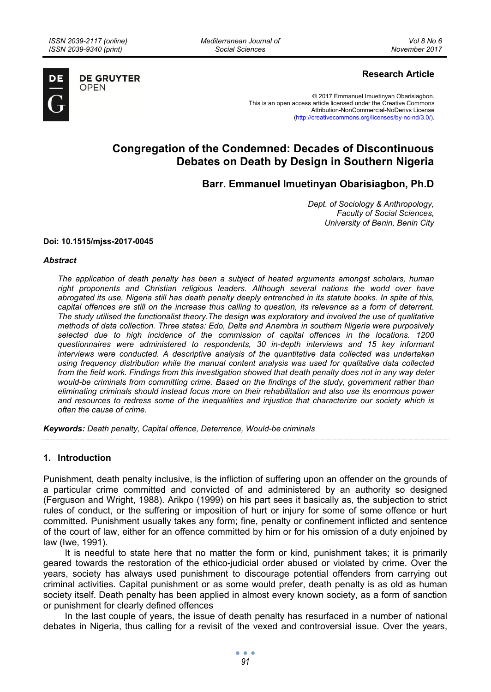**OPEN** 

*Mediterranean Journal of Social Sciences* 



**DE GRUYTER** 

# **Research Article**

© 2017 Emmanuel Imuetinyan Obarisiagbon. This is an open access article licensed under the Creative Commons Attribution-NonCommercial-NoDerivs License (http://creativecommons.org/licenses/by-nc-nd/3.0/).

# **Congregation of the Condemned: Decades of Discontinuous Debates on Death by Design in Southern Nigeria**

**Barr. Emmanuel Imuetinyan Obarisiagbon, Ph.D** 

*Dept. of Sociology & Anthropology, Faculty of Social Sciences, University of Benin, Benin City* 

#### **Doi: 10.1515/mjss-2017-0045**

#### *Abstract*

*The application of death penalty has been a subject of heated arguments amongst scholars, human*  right proponents and Christian religious leaders. Although several nations the world over have *abrogated its use, Nigeria still has death penalty deeply entrenched in its statute books. In spite of this, capital offences are still on the increase thus calling to question, its relevance as a form of deterrent. The study utilised the functionalist theory.The design was exploratory and involved the use of qualitative methods of data collection. Three states: Edo, Delta and Anambra in southern Nigeria were purposively selected due to high incidence of the commission of capital offences in the locations. 1200 questionnaires were administered to respondents, 30 in-depth interviews and 15 key informant interviews were conducted. A descriptive analysis of the quantitative data collected was undertaken using frequency distribution while the manual content analysis was used for qualitative data collected from the field work. Findings from this investigation showed that death penalty does not in any way deter would-be criminals from committing crime. Based on the findings of the study, government rather than eliminating criminals should instead focus more on their rehabilitation and also use its enormous power and resources to redress some of the inequalities and injustice that characterize our society which is often the cause of crime.* 

*Keywords: Death penalty, Capital offence, Deterrence, Would-be criminals* 

#### **1. Introduction**

Punishment, death penalty inclusive, is the infliction of suffering upon an offender on the grounds of a particular crime committed and convicted of and administered by an authority so designed (Ferguson and Wright, 1988). Arikpo (1999) on his part sees it basically as, the subjection to strict rules of conduct, or the suffering or imposition of hurt or injury for some of some offence or hurt committed. Punishment usually takes any form; fine, penalty or confinement inflicted and sentence of the court of law, either for an offence committed by him or for his omission of a duty enjoined by law (Iwe, 1991).

It is needful to state here that no matter the form or kind, punishment takes; it is primarily geared towards the restoration of the ethico-judicial order abused or violated by crime. Over the years, society has always used punishment to discourage potential offenders from carrying out criminal activities. Capital punishment or as some would prefer, death penalty is as old as human society itself. Death penalty has been applied in almost every known society, as a form of sanction or punishment for clearly defined offences

In the last couple of years, the issue of death penalty has resurfaced in a number of national debates in Nigeria, thus calling for a revisit of the vexed and controversial issue. Over the years,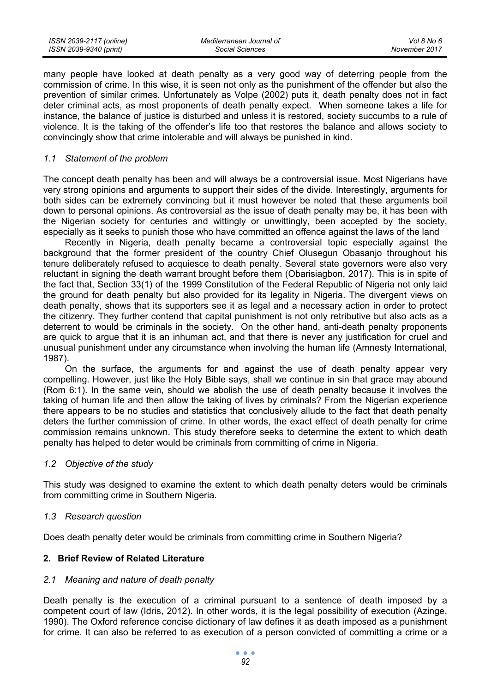| ISSN 2039-2117 (online) | Mediterranean Journal of | Vol 8 No 6    |
|-------------------------|--------------------------|---------------|
| ISSN 2039-9340 (print)  | Social Sciences          | November 2017 |

many people have looked at death penalty as a very good way of deterring people from the commission of crime. In this wise, it is seen not only as the punishment of the offender but also the prevention of similar crimes. Unfortunately as Volpe (2002) puts it, death penalty does not in fact deter criminal acts, as most proponents of death penalty expect. When someone takes a life for instance, the balance of justice is disturbed and unless it is restored, society succumbs to a rule of violence. It is the taking of the offender's life too that restores the balance and allows society to convincingly show that crime intolerable and will always be punished in kind.

#### *1.1 Statement of the problem*

The concept death penalty has been and will always be a controversial issue. Most Nigerians have very strong opinions and arguments to support their sides of the divide. Interestingly, arguments for both sides can be extremely convincing but it must however be noted that these arguments boil down to personal opinions. As controversial as the issue of death penalty may be, it has been with the Nigerian society for centuries and wittingly or unwittingly, been accepted by the society, especially as it seeks to punish those who have committed an offence against the laws of the land

Recently in Nigeria, death penalty became a controversial topic especially against the background that the former president of the country Chief Olusegun Obasanjo throughout his tenure deliberately refused to acquiesce to death penalty. Several state governors were also very reluctant in signing the death warrant brought before them (Obarisiagbon, 2017). This is in spite of the fact that, Section 33(1) of the 1999 Constitution of the Federal Republic of Nigeria not only laid the ground for death penalty but also provided for its legality in Nigeria. The divergent views on death penalty, shows that its supporters see it as legal and a necessary action in order to protect the citizenry. They further contend that capital punishment is not only retributive but also acts as a deterrent to would be criminals in the society. On the other hand, anti-death penalty proponents are quick to argue that it is an inhuman act, and that there is never any justification for cruel and unusual punishment under any circumstance when involving the human life (Amnesty International, 1987).

On the surface, the arguments for and against the use of death penalty appear very compelling. However, just like the Holy Bible says, shall we continue in sin that grace may abound (Rom 6:1). In the same vein, should we abolish the use of death penalty because it involves the taking of human life and then allow the taking of lives by criminals? From the Nigerian experience there appears to be no studies and statistics that conclusively allude to the fact that death penalty deters the further commission of crime. In other words, the exact effect of death penalty for crime commission remains unknown. This study therefore seeks to determine the extent to which death penalty has helped to deter would be criminals from committing of crime in Nigeria.

#### *1.2 Objective of the study*

This study was designed to examine the extent to which death penalty deters would be criminals from committing crime in Southern Nigeria.

## *1.3 Research question*

Does death penalty deter would be criminals from committing crime in Southern Nigeria?

## **2. Brief Review of Related Literature**

# *2.1 Meaning and nature of death penalty*

Death penalty is the execution of a criminal pursuant to a sentence of death imposed by a competent court of law (Idris, 2012). In other words, it is the legal possibility of execution (Azinge, 1990). The Oxford reference concise dictionary of law defines it as death imposed as a punishment for crime. It can also be referred to as execution of a person convicted of committing a crime or a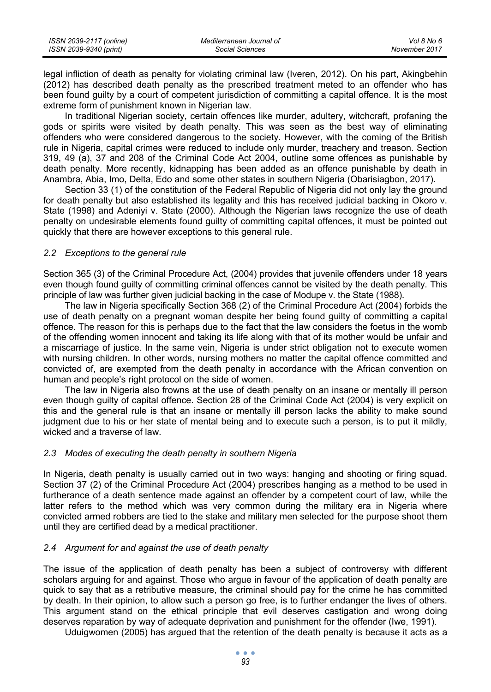| ISSN 2039-2117 (online) | Mediterranean Journal of | Vol 8 No 6    |
|-------------------------|--------------------------|---------------|
| ISSN 2039-9340 (print)  | Social Sciences          | November 2017 |

legal infliction of death as penalty for violating criminal law (Iveren, 2012). On his part, Akingbehin (2012) has described death penalty as the prescribed treatment meted to an offender who has been found guilty by a court of competent jurisdiction of committing a capital offence. It is the most extreme form of punishment known in Nigerian law.

In traditional Nigerian society, certain offences like murder, adultery, witchcraft, profaning the gods or spirits were visited by death penalty. This was seen as the best way of eliminating offenders who were considered dangerous to the society. However, with the coming of the British rule in Nigeria, capital crimes were reduced to include only murder, treachery and treason. Section 319, 49 (a), 37 and 208 of the Criminal Code Act 2004, outline some offences as punishable by death penalty. More recently, kidnapping has been added as an offence punishable by death in Anambra, Abia, Imo, Delta, Edo and some other states in southern Nigeria (Obarisiagbon, 2017).

Section 33 (1) of the constitution of the Federal Republic of Nigeria did not only lay the ground for death penalty but also established its legality and this has received judicial backing in Okoro v. State (1998) and Adeniyi v. State (2000). Although the Nigerian laws recognize the use of death penalty on undesirable elements found guilty of committing capital offences, it must be pointed out quickly that there are however exceptions to this general rule.

## *2.2 Exceptions to the general rule*

Section 365 (3) of the Criminal Procedure Act, (2004) provides that juvenile offenders under 18 years even though found guilty of committing criminal offences cannot be visited by the death penalty. This principle of law was further given judicial backing in the case of Modupe v. the State (1988).

The law in Nigeria specifically Section 368 (2) of the Criminal Procedure Act (2004) forbids the use of death penalty on a pregnant woman despite her being found guilty of committing a capital offence. The reason for this is perhaps due to the fact that the law considers the foetus in the womb of the offending women innocent and taking its life along with that of its mother would be unfair and a miscarriage of justice. In the same vein, Nigeria is under strict obligation not to execute women with nursing children. In other words, nursing mothers no matter the capital offence committed and convicted of, are exempted from the death penalty in accordance with the African convention on human and people's right protocol on the side of women.

The law in Nigeria also frowns at the use of death penalty on an insane or mentally ill person even though guilty of capital offence. Section 28 of the Criminal Code Act (2004) is very explicit on this and the general rule is that an insane or mentally ill person lacks the ability to make sound judgment due to his or her state of mental being and to execute such a person, is to put it mildly, wicked and a traverse of law.

# *2.3 Modes of executing the death penalty in southern Nigeria*

In Nigeria, death penalty is usually carried out in two ways: hanging and shooting or firing squad. Section 37 (2) of the Criminal Procedure Act (2004) prescribes hanging as a method to be used in furtherance of a death sentence made against an offender by a competent court of law, while the latter refers to the method which was very common during the military era in Nigeria where convicted armed robbers are tied to the stake and military men selected for the purpose shoot them until they are certified dead by a medical practitioner.

# *2.4 Argument for and against the use of death penalty*

The issue of the application of death penalty has been a subject of controversy with different scholars arguing for and against. Those who argue in favour of the application of death penalty are quick to say that as a retributive measure, the criminal should pay for the crime he has committed by death. In their opinion, to allow such a person go free, is to further endanger the lives of others. This argument stand on the ethical principle that evil deserves castigation and wrong doing deserves reparation by way of adequate deprivation and punishment for the offender (Iwe, 1991).

Uduigwomen (2005) has argued that the retention of the death penalty is because it acts as a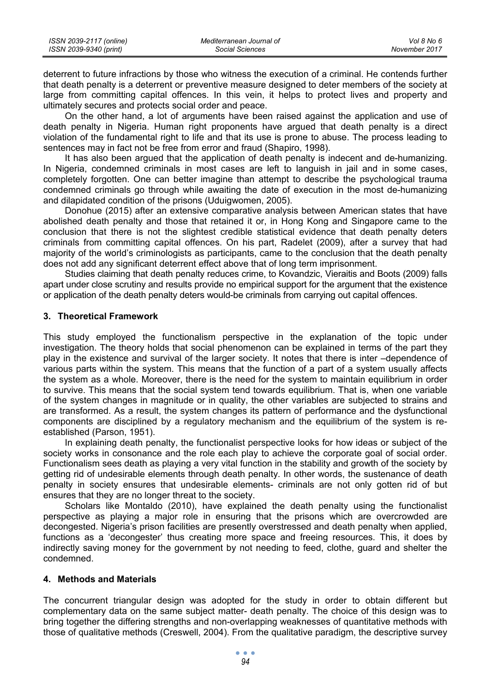| ISSN 2039-2117 (online) | Mediterranean Journal of | Vol 8 No 6    |
|-------------------------|--------------------------|---------------|
| ISSN 2039-9340 (print)  | Social Sciences          | November 2017 |

deterrent to future infractions by those who witness the execution of a criminal. He contends further that death penalty is a deterrent or preventive measure designed to deter members of the society at large from committing capital offences. In this vein, it helps to protect lives and property and ultimately secures and protects social order and peace.

On the other hand, a lot of arguments have been raised against the application and use of death penalty in Nigeria. Human right proponents have argued that death penalty is a direct violation of the fundamental right to life and that its use is prone to abuse. The process leading to sentences may in fact not be free from error and fraud (Shapiro, 1998).

It has also been argued that the application of death penalty is indecent and de-humanizing. In Nigeria, condemned criminals in most cases are left to languish in jail and in some cases, completely forgotten. One can better imagine than attempt to describe the psychological trauma condemned criminals go through while awaiting the date of execution in the most de-humanizing and dilapidated condition of the prisons (Uduigwomen, 2005).

Donohue (2015) after an extensive comparative analysis between American states that have abolished death penalty and those that retained it or, in Hong Kong and Singapore came to the conclusion that there is not the slightest credible statistical evidence that death penalty deters criminals from committing capital offences. On his part, Radelet (2009), after a survey that had majority of the world's criminologists as participants, came to the conclusion that the death penalty does not add any significant deterrent effect above that of long term imprisonment.

Studies claiming that death penalty reduces crime, to Kovandzic, Vieraitis and Boots (2009) falls apart under close scrutiny and results provide no empirical support for the argument that the existence or application of the death penalty deters would-be criminals from carrying out capital offences.

## **3. Theoretical Framework**

This study employed the functionalism perspective in the explanation of the topic under investigation. The theory holds that social phenomenon can be explained in terms of the part they play in the existence and survival of the larger society. It notes that there is inter –dependence of various parts within the system. This means that the function of a part of a system usually affects the system as a whole. Moreover, there is the need for the system to maintain equilibrium in order to survive. This means that the social system tend towards equilibrium. That is, when one variable of the system changes in magnitude or in quality, the other variables are subjected to strains and are transformed. As a result, the system changes its pattern of performance and the dysfunctional components are disciplined by a regulatory mechanism and the equilibrium of the system is reestablished (Parson, 1951).

In explaining death penalty, the functionalist perspective looks for how ideas or subject of the society works in consonance and the role each play to achieve the corporate goal of social order. Functionalism sees death as playing a very vital function in the stability and growth of the society by getting rid of undesirable elements through death penalty. In other words, the sustenance of death penalty in society ensures that undesirable elements- criminals are not only gotten rid of but ensures that they are no longer threat to the society.

Scholars like Montaldo (2010), have explained the death penalty using the functionalist perspective as playing a major role in ensuring that the prisons which are overcrowded are decongested. Nigeria's prison facilities are presently overstressed and death penalty when applied, functions as a 'decongester' thus creating more space and freeing resources. This, it does by indirectly saving money for the government by not needing to feed, clothe, guard and shelter the condemned.

# **4. Methods and Materials**

The concurrent triangular design was adopted for the study in order to obtain different but complementary data on the same subject matter- death penalty. The choice of this design was to bring together the differing strengths and non-overlapping weaknesses of quantitative methods with those of qualitative methods (Creswell, 2004). From the qualitative paradigm, the descriptive survey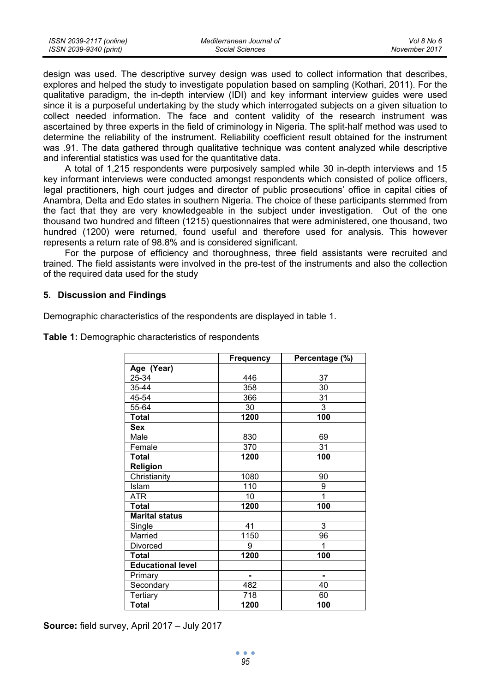| ISSN 2039-2117 (online) | Mediterranean Journal of | Vol 8 No 6    |
|-------------------------|--------------------------|---------------|
| ISSN 2039-9340 (print)  | Social Sciences          | November 2017 |

design was used. The descriptive survey design was used to collect information that describes, explores and helped the study to investigate population based on sampling (Kothari, 2011). For the qualitative paradigm, the in-depth interview (IDI) and key informant interview guides were used since it is a purposeful undertaking by the study which interrogated subjects on a given situation to collect needed information. The face and content validity of the research instrument was ascertained by three experts in the field of criminology in Nigeria. The split-half method was used to determine the reliability of the instrument. Reliability coefficient result obtained for the instrument was .91. The data gathered through qualitative technique was content analyzed while descriptive and inferential statistics was used for the quantitative data.

A total of 1,215 respondents were purposively sampled while 30 in-depth interviews and 15 key informant interviews were conducted amongst respondents which consisted of police officers, legal practitioners, high court judges and director of public prosecutions' office in capital cities of Anambra, Delta and Edo states in southern Nigeria. The choice of these participants stemmed from the fact that they are very knowledgeable in the subject under investigation. Out of the one thousand two hundred and fifteen (1215) questionnaires that were administered, one thousand, two hundred (1200) were returned, found useful and therefore used for analysis. This however represents a return rate of 98.8% and is considered significant.

For the purpose of efficiency and thoroughness, three field assistants were recruited and trained. The field assistants were involved in the pre-test of the instruments and also the collection of the required data used for the study

## **5. Discussion and Findings**

Demographic characteristics of the respondents are displayed in table 1.

|                          | Frequency | Percentage (%) |
|--------------------------|-----------|----------------|
| Age (Year)               |           |                |
| 25-34                    | 446       | 37             |
| 35-44                    | 358       | 30             |
| 45-54                    | 366       | 31             |
| 55-64                    | 30        | 3              |
| Total                    | 1200      | 100            |
| Sex                      |           |                |
| Male                     | 830       | 69             |
| Female                   | 370       | 31             |
| <b>Total</b>             | 1200      | 100            |
| Religion                 |           |                |
| Christianity             | 1080      | 90             |
| Islam                    | 110       | 9              |
| <b>ATR</b>               | 10        | 1              |
| <b>Total</b>             | 1200      | 100            |
| <b>Marital status</b>    |           |                |
| Single                   | 41        | 3              |
| Married                  | 1150      | 96             |
| Divorced                 | 9         | 1              |
| <b>Total</b>             | 1200      | 100            |
| <b>Educational level</b> |           |                |
| Primary                  | ۰         | ۰              |
| Secondary                | 482       | 40             |
| Tertiary                 | 718       | 60             |
| <b>Total</b>             | 1200      | 100            |

**Table 1:** Demographic characteristics of respondents

**Source:** field survey, April 2017 – July 2017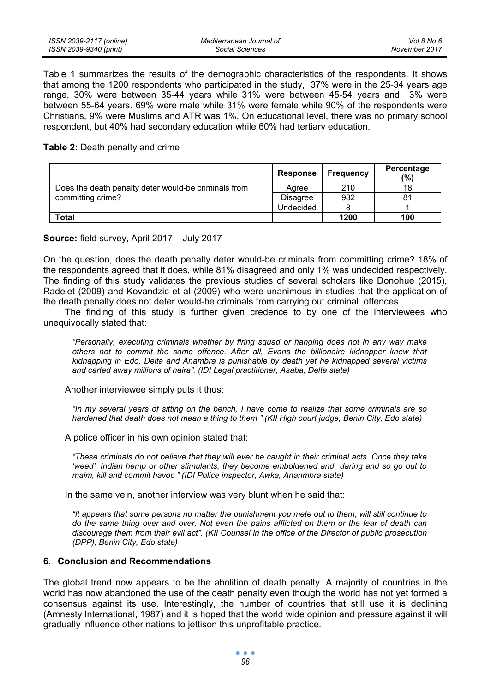Table 1 summarizes the results of the demographic characteristics of the respondents. It shows that among the 1200 respondents who participated in the study, 37% were in the 25-34 years age range, 30% were between 35-44 years while 31% were between 45-54 years and 3% were between 55-64 years. 69% were male while 31% were female while 90% of the respondents were Christians, 9% were Muslims and ATR was 1%. On educational level, there was no primary school respondent, but 40% had secondary education while 60% had tertiary education.

#### **Table 2:** Death penalty and crime

|                                                                           | Response  | Frequency | Percentage<br>(%) |
|---------------------------------------------------------------------------|-----------|-----------|-------------------|
| Does the death penalty deter would-be criminals from<br>committing crime? | Aaree     | 210       | 18                |
|                                                                           | Disagree  | 982       | 81                |
|                                                                           | Undecided |           |                   |
| Total                                                                     |           | 1200      | 100               |

## **Source:** field survey, April 2017 – July 2017

On the question, does the death penalty deter would-be criminals from committing crime? 18% of the respondents agreed that it does, while 81% disagreed and only 1% was undecided respectively. The finding of this study validates the previous studies of several scholars like Donohue (2015), Radelet (2009) and Kovandzic et al (2009) who were unanimous in studies that the application of the death penalty does not deter would-be criminals from carrying out criminal offences.

The finding of this study is further given credence to by one of the interviewees who unequivocally stated that:

*"Personally, executing criminals whether by firing squad or hanging does not in any way make others not to commit the same offence. After all, Evans the billionaire kidnapper knew that kidnapping in Edo, Delta and Anambra is punishable by death yet he kidnapped several victims and carted away millions of naira". (IDI Legal practitioner, Asaba, Delta state)* 

Another interviewee simply puts it thus:

*"In my several years of sitting on the bench, I have come to realize that some criminals are so hardened that death does not mean a thing to them ".(KII High court judge, Benin City, Edo state)* 

A police officer in his own opinion stated that:

*"These criminals do not believe that they will ever be caught in their criminal acts. Once they take 'weed', Indian hemp or other stimulants, they become emboldened and daring and so go out to maim, kill and commit havoc " (IDI Police inspector, Awka, Ananmbra state)* 

In the same vein, another interview was very blunt when he said that:

*"It appears that some persons no matter the punishment you mete out to them, will still continue to do the same thing over and over. Not even the pains afflicted on them or the fear of death can discourage them from their evil act". (KII Counsel in the office of the Director of public prosecution (DPP), Benin City, Edo state)* 

# **6. Conclusion and Recommendations**

The global trend now appears to be the abolition of death penalty. A majority of countries in the world has now abandoned the use of the death penalty even though the world has not yet formed a consensus against its use. Interestingly, the number of countries that still use it is declining (Amnesty International, 1987) and it is hoped that the world wide opinion and pressure against it will gradually influence other nations to jettison this unprofitable practice.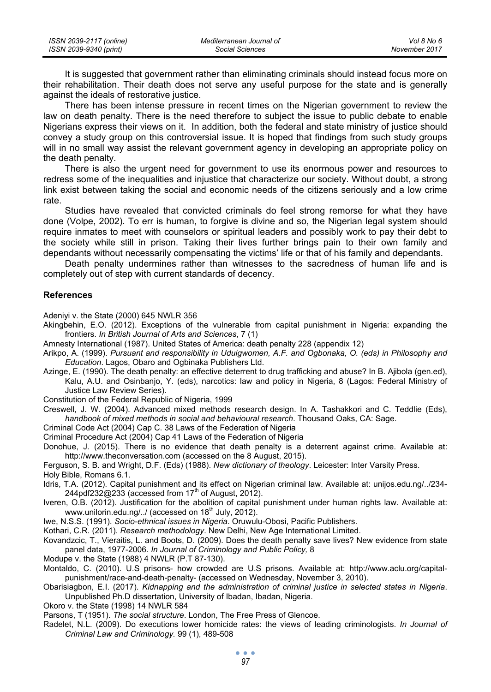| ISSN 2039-2117 (online) | Mediterranean Journal of | Vol 8 No 6    |
|-------------------------|--------------------------|---------------|
| ISSN 2039-9340 (print)  | Social Sciences          | November 2017 |

It is suggested that government rather than eliminating criminals should instead focus more on their rehabilitation. Their death does not serve any useful purpose for the state and is generally against the ideals of restorative justice.

There has been intense pressure in recent times on the Nigerian government to review the law on death penalty. There is the need therefore to subject the issue to public debate to enable Nigerians express their views on it. In addition, both the federal and state ministry of justice should convey a study group on this controversial issue. It is hoped that findings from such study groups will in no small way assist the relevant government agency in developing an appropriate policy on the death penalty.

There is also the urgent need for government to use its enormous power and resources to redress some of the inequalities and injustice that characterize our society. Without doubt, a strong link exist between taking the social and economic needs of the citizens seriously and a low crime rate.

Studies have revealed that convicted criminals do feel strong remorse for what they have done (Volpe, 2002). To err is human, to forgive is divine and so, the Nigerian legal system should require inmates to meet with counselors or spiritual leaders and possibly work to pay their debt to the society while still in prison. Taking their lives further brings pain to their own family and dependants without necessarily compensating the victims' life or that of his family and dependants.

Death penalty undermines rather than witnesses to the sacredness of human life and is completely out of step with current standards of decency.

#### **References**

Adeniyi v. the State (2000) 645 NWLR 356

- Akingbehin, E.O. (2012). Exceptions of the vulnerable from capital punishment in Nigeria: expanding the frontiers. *In British Journal of Arts and Sciences*, 7 (1)
- Amnesty International (1987). United States of America: death penalty 228 (appendix 12)
- Arikpo, A. (1999). *Pursuant and responsibility in Uduigwomen, A.F. and Ogbonaka, O. (eds) in Philosophy and Education*. Lagos, Obaro and Ogbinaka Publishers Ltd.
- Azinge, E. (1990). The death penalty: an effective deterrent to drug trafficking and abuse? In B. Ajibola (gen.ed), Kalu, A.U. and Osinbanjo, Y. (eds), narcotics: law and policy in Nigeria, 8 (Lagos: Federal Ministry of Justice Law Review Series).
- Constitution of the Federal Republic of Nigeria, 1999
- Creswell, J. W. (2004). Advanced mixed methods research design. In A. Tashakkori and C. Teddlie (Eds), *handbook of mixed methods in social and behavioural research*. Thousand Oaks, CA: Sage.
- Criminal Code Act (2004) Cap C. 38 Laws of the Federation of Nigeria
- Criminal Procedure Act (2004) Cap 41 Laws of the Federation of Nigeria
- Donohue, J. (2015). There is no evidence that death penalty is a deterrent against crime. Available at: http://www.theconversation.com (accessed on the 8 August, 2015).

Ferguson, S. B. and Wright, D.F. (Eds) (1988). *New dictionary of theology*. Leicester: Inter Varsity Press. Holy Bible, Romans 6.1.

- Idris, T.A. (2012). Capital punishment and its effect on Nigerian criminal law. Available at: unijos.edu.ng/../234-  $244pdf232@233$  (accessed from  $17<sup>th</sup>$  of August, 2012).
- Iveren, O.B. (2012). Justification for the abolition of capital punishment under human rights law. Available at: www.unilorin.edu.ng/../ (accessed on 18<sup>th</sup> July, 2012).

Iwe, N.S.S. (1991). *Socio-ethnical issues in Nigeria*. Oruwulu-Obosi, Pacific Publishers.

- Kothari, C.R. (2011). *Research methodology*. New Delhi, New Age International Limited.
- Kovandzcic, T., Vieraitis, L. and Boots, D. (2009). Does the death penalty save lives? New evidence from state panel data, 1977-2006. *In Journal of Criminology and Public Policy,* 8
- Modupe v. the State (1988) 4 NWLR (P.T 87-130).
- Montaldo, C. (2010). U.S prisons- how crowded are U.S prisons. Available at: http://www.aclu.org/capitalpunishment/race-and-death-penalty- (accessed on Wednesday, November 3, 2010).
- Obarisiagbon, E.I. (2017). *Kidnapping and the administration of criminal justice in selected states in Nigeria*. Unpublished Ph.D dissertation, University of Ibadan, Ibadan, Nigeria.

Okoro v. the State (1998) 14 NWLR 584

- Parsons, T (1951). *The social structure*. London, The Free Press of Glencoe.
- Radelet, N.L. (2009). Do executions lower homicide rates: the views of leading criminologists. *In Journal of Criminal Law and Criminology.* 99 (1), 489-508